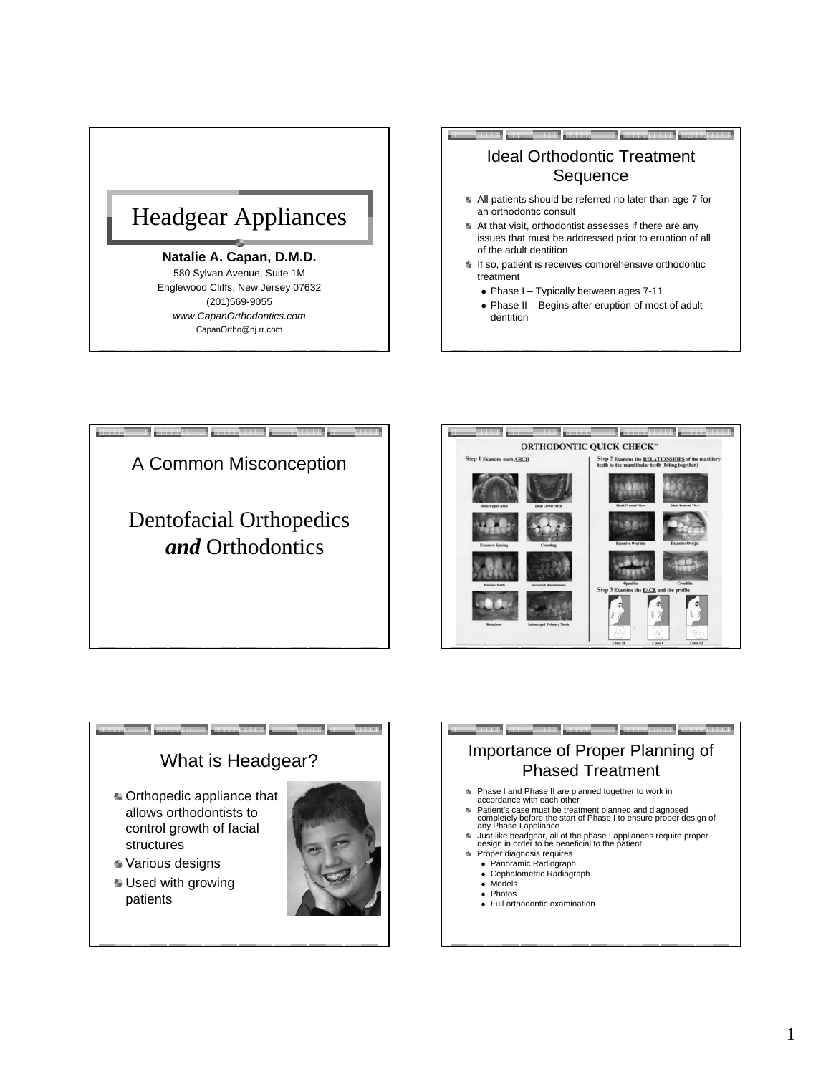

## **Natalie A. Capan, D.M.D.**

580 Sylvan Avenue, Suite 1M Englewood Cliffs, New Jersey 07632 (201)569-9055 *www.CapanOrthodontics.com* CapanOrtho@nj.rr.com



- $\bullet$  Phase I Typically between ages 7-11
- Phase II Begins after eruption of most of adult dentition





## Orthopedic appliance that allows orthodontists to control growth of facial structures Various designs Used with growing patients What is Headgear?

## Importance of Proper Planning of Phased Treatment

- **Phase I and Phase II are planned together to work in accordance with each other**
- accordance with each other Patient's case must be treatment planned and diagnosed completely before the start of Phase I to ensure proper design of any Phase I appliance
- Just like headgear, all of the phase I appliances require proper design in order to be beneficial to the patient
	- Proper diagnosis requires <sup>z</sup> Panoramic Radiograph
	- Cephalometric Radiograph
	- Models
	- Photos
	- Full orthodontic examination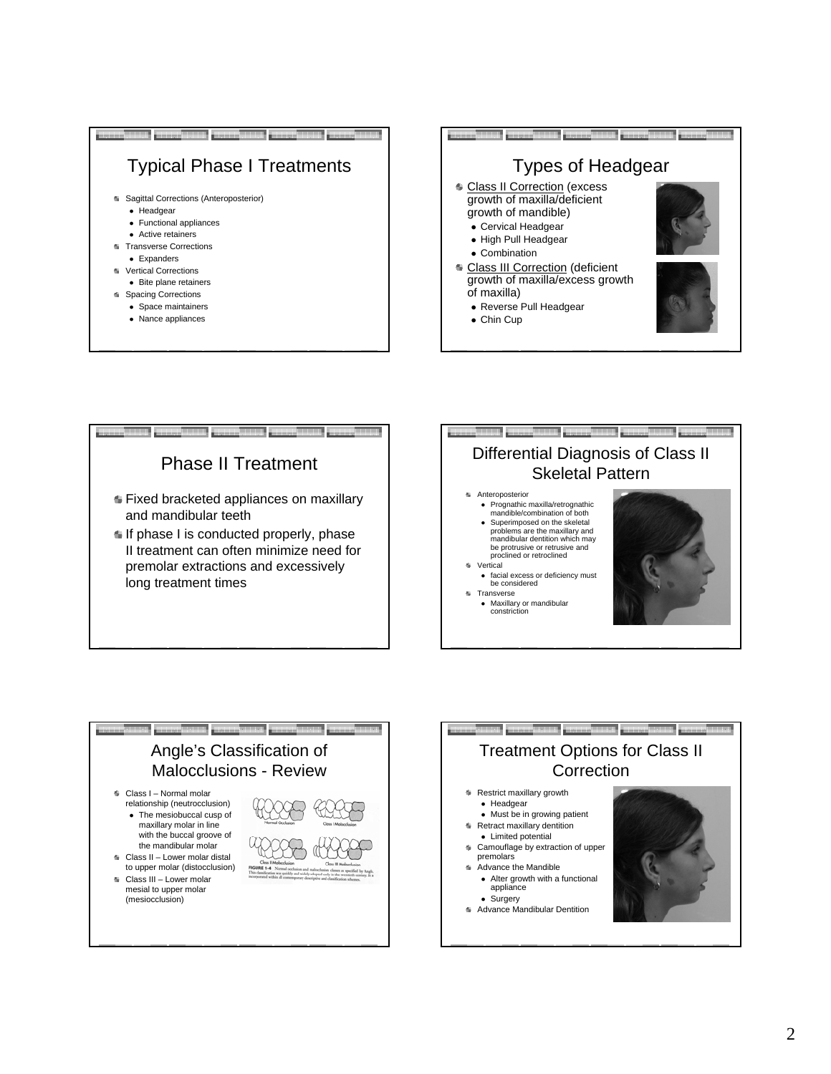









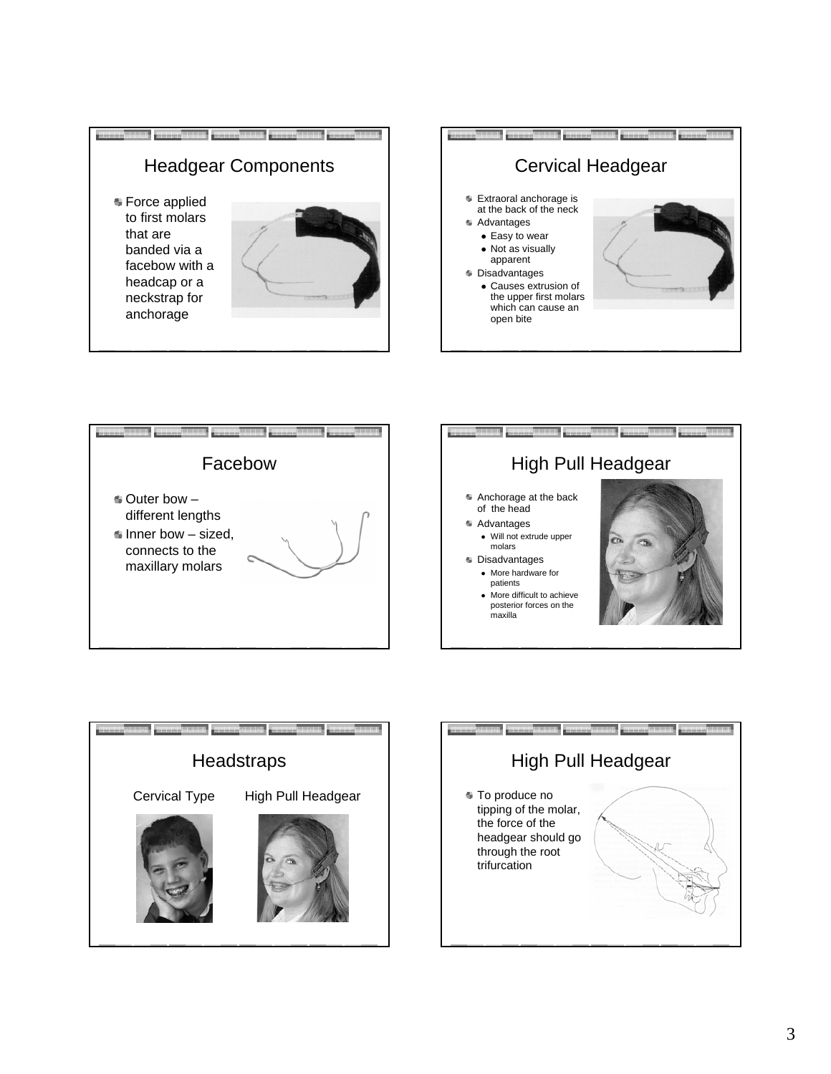









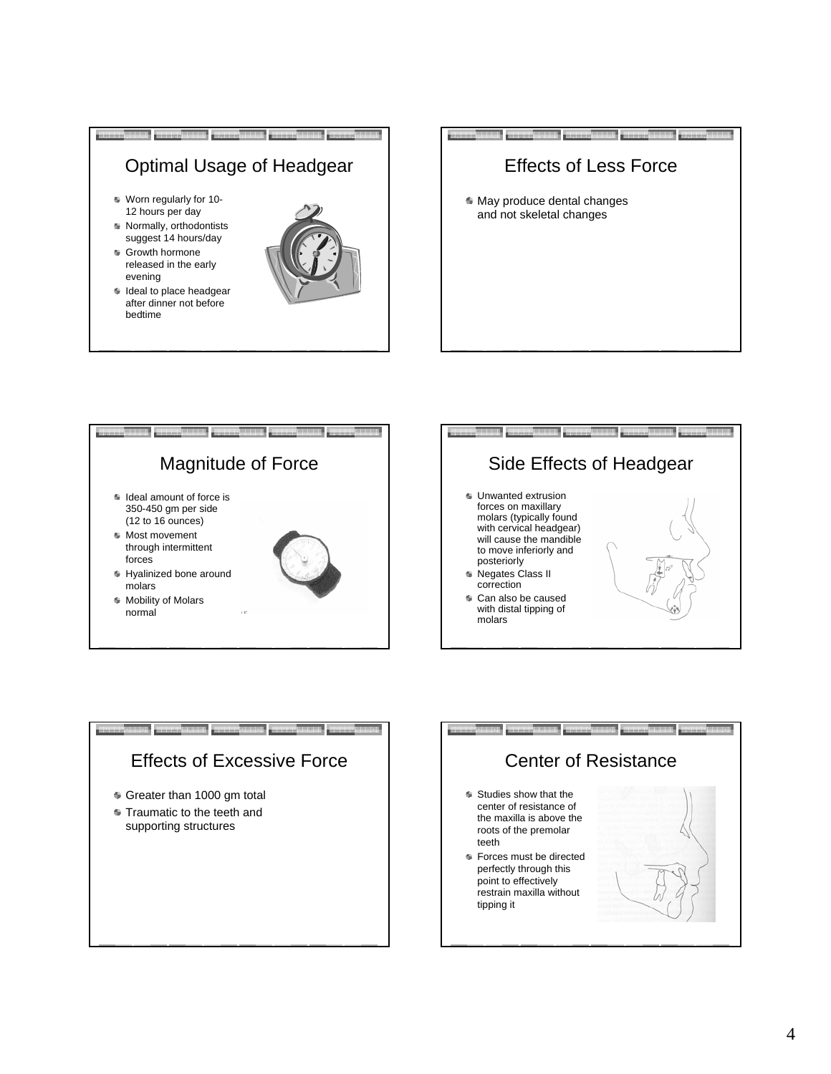









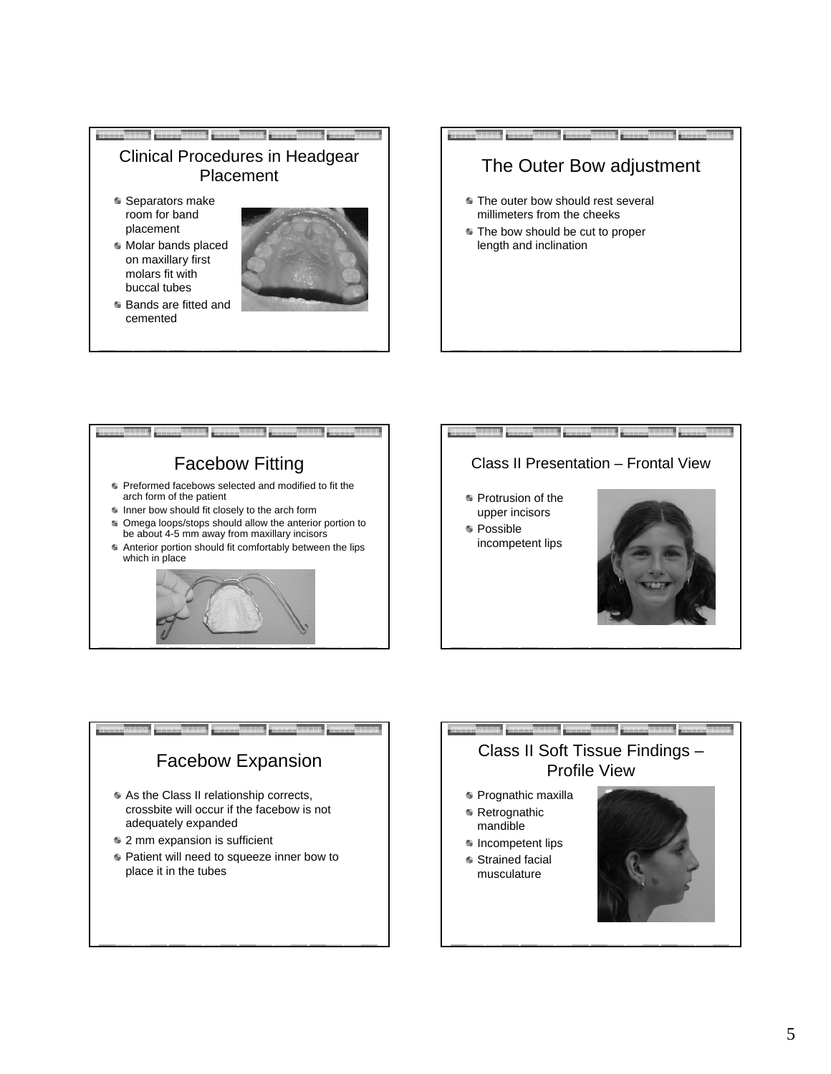









- **Prognathic maxilla Retrognathic**
- mandible
- $\bullet$  Incompetent lips
- Strained facial musculature

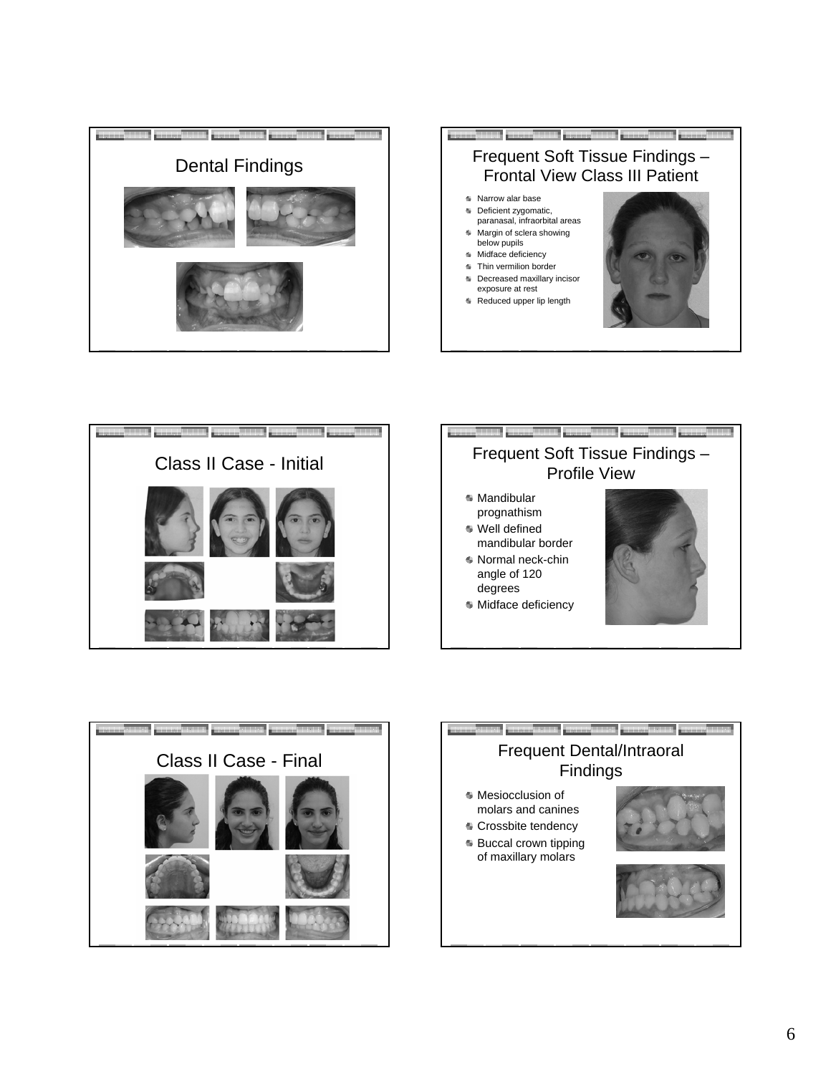









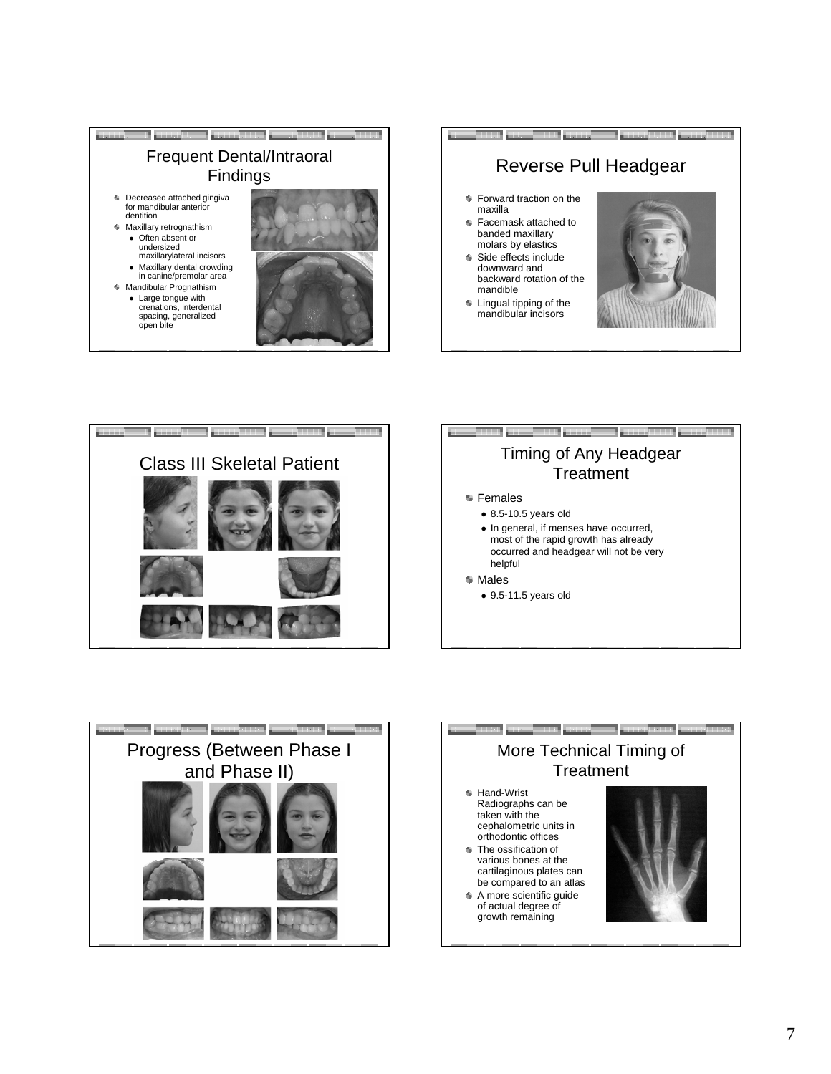